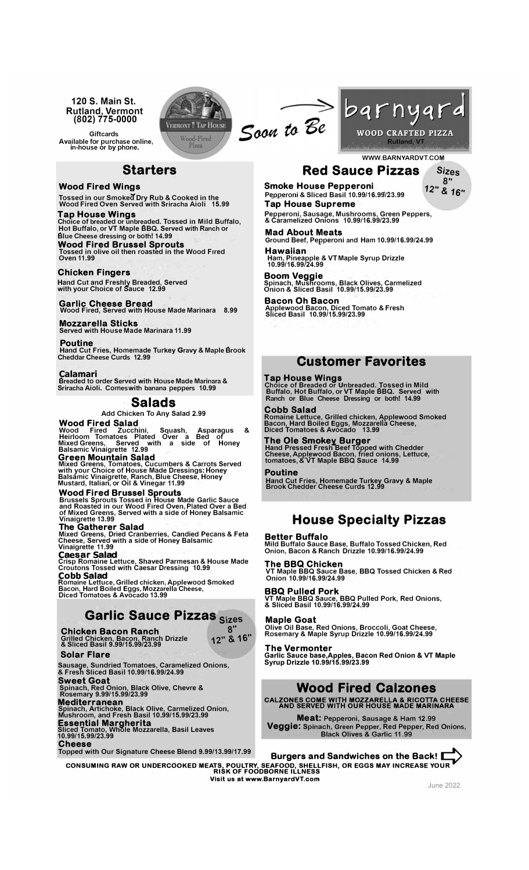**120 S. Main St. Rutland, Vermont (802) 775-0000**

**Wood Fired Winas** 

**Giftcards Available for purchase online, in-house or by phone.** 

**Blue Cheese dressing or both! 14.99 Wood Fired Brussel Sprouts** 

**Starters** 

**Tossed in our Smokea Dry Rub & Cooked in the Wood Fired Oven Served with Sriracha Aioli 15.99 Tap House Wings Choice of breaded or unbreaded. Tossed in Mild Buffalo, Hot Buffalo, or VT Maple BBQ. Served with Ranch or** 

**Tossed in olive oil then roasted in the Wood Fired Oven 11.99** 



Soon to Be



**WWW.BARNYARDVT.COM Red Sauce Pizzas Sizes** 

**12" & 16" Smoke House Pepperoni P�pperoni & Sliced Basil 10.99/16.99/23.99 Tap House Supreme** 

12" & 16"

**Pepperoni, Sausage, Mushrooms, Green Peppers, & Caramelized Onions 10.99/1<sup>6</sup>.99/23.99** 

**Mad About Meats Ground Beef, Pepperoni and Ham 10.99/16.99/24.99** 

**Hawaiian Ham, Pineapple & VT Maple Syrup Drizzle 10.99/16.99/24.99** 

**Boom Vegaie Spinach, Muslrooms, Black Olives, Carmelized Onion & Sliced Basil 10.99/15.99/23.99** 

**Customer Favorites** 

**Choice of Breaded or Unbreaded. Tossed in Mild Buffalo, Hot Buffalo, or VT Maple BBQ. Served with Ranch or Blue Cheese Dressing or both! 14.99**

**Romaine Lettuce, Grilled chicken, Applewood Smoked Bacon, Hard Boiled Eggs, Mozzarella Cheese, Diced Tomatoes & Avocado 13.99**

**Hand Pressed Fresh1eef Topped with Chedder Cheese, Applewood Bacon, fried onions, Lettuce, tomatoes, & VT Maple BBQ Sauce 14.99** 

**Hand Cut Fries, Homemade Turkey Gravy & Maple Brook Chedder Cheese Curds 12.99** 

**House Specialty Pizzas** 

**Bacon Oh Bacon Applewood Bacon, Diced Tomato & Fresh Sliced Basil 10.99/15.99/23.99** 

**Tap House Wings** 

**The Ole Smokey Burger** 

**Cobb Salad** 

**Poutine** 

# **Garlic Cheese Bread Wood Fired, Served with House Made Marinara 8.99**

**Chicken Fingers** 

**Mozzarella Sticks Served with House Made Marinara 11.99**

**Hand Cut and Freshly Breaded, Served with your Choice of Sauce 12.99** 

#### **Poutine**

**Hand Cut Fries, Homemade Turkey Gravy & Maple Brook Cheddar Cheese Curds 12.99**

### Çalamari

**Breaded to order Served with House Made Marinara & Sriracha Aioli. Comes with banana peppers 10.99**

### **Salads**

**Add Chicken To Any Salad 2.99** 

### **Wood Fired Salad**

**Wood Fired Zucchini, Squash, Asparagus & Heirloom Tomatoes Plated Over a Bed of Mixed Greens, Served with a side of Honey Balsamic Vinaigrette 12.99** 

#### **Green Mountain Salad**

Mixed Greens, Tomatoes, Cucumbers & Carrots Served<br>with your Choice of House Made Dressings: Honey<br>Balsámic Vinaigrette, Ranch, Blue Cheese, Honey<br>Mustard, Italian, or Oil & Vinegar 11.99

#### **Wood Fired Brussel Sprouts**

Brussels Sprouts Tossed in House Made Garlic Sauce<br>and Roasted in our Wood Fired Oven, Plated Over a Bed<br>of Mixed Greens, Served with a side of Honey Balsamic<br>Vinaigrette 13.99

#### **The Gatherer Salad**

**Mixed Greens, Dried Cranberries, Candied Pecans & Feta Cheese, Served with a side of Honey Balsamic Vinaigrette 11.99** 

**Caesar Salad Crisp Romaine Lettuce, Shaved Parmesan & House Made Croutons Tossed with Caesar Dressing 10.99** 

**Cobb Salad Romaine Lettuce, Grilled chicken, Applewood Smoked Bacon, Hard Boiled Eggs, Mozzarella Cheese, Diced Tomatoes & Avocado 13.99**

# **Garlic Sauce Pizzas Sizes**

**Chicken Bacon Ranch Grilled Chicken, Bacon, Ranch Drizzle & Sliced Basil 9.99/15.99/23.99** 

### **Solar Flare**

**Sausage, Sundried Tomatoes, Caramelized Onions, & Fresh Sliced Basil 10.99/16.99/24.99 Sweet Goat Spinach, Red Onion, Black Olive, Chevre & Rosemary 9.99/15.99/23.99 Mediterranean** 

**Spinach, Artichoke, Black Olive, Carmelized Onion, Mushroom, and Fresh Basil 10.99/15.99/23.99 Essential Margherita Sliced Tomato, Whole Mozzarella, Basil Leaves 10.99/15.99/23.99** 

**Cheese** 

**Topped with Our Signature Cheese Blend 9.99/13.99/17.99** 

READ TIME OF STRAND READS. The Back! **The Sandwiches on the Back!**<br>The Back! Consuming RAW OR UNDERCOOKED MEATS, POULTRY, SEAFOOD, SHELLFISH, OR EGGS MAY INCREASE YOUR<br>RISK OF FOODBORNE ILLNESS **Visit us at www.BarnyardVT.com** 

June 2022

# **12" & 16"**

**8"** 

# **VT Maple BBQ Sauce Base, BBQ Tossed Chicken & Red Onion 10.99/16.99/24.99**

**BBQ Pulled Pork VT Maple BBQ Sauce, BBQ Pulled Pork, Red Onions, & Sliced Basil 10.99/16.99/24.99** 

**Mild Buffalo Sauce Base, Buffalo Tossed Chicken, Red Onion, Bacon & Ranch Drizzle 10.99/16.99/24.99** 

### **Maple Goat**

**Better Buffalo** 

**The BBQ Chicken** 

**Olive Oil Base, Red Onions, Broccoli, Goat Cheese, Rosemary & Maple Syrup Drizzle 10.99/16.99/24.99** 

## **The Vermonter**

**Garlic Sauce base,Apples, Bacon Red Onion & VT Maple Syrup Drizzle 10.99/15.99/23.99**

# **Wood Fired Calzones**

**CALZONES COME WITH MOZZARELLA & RICOTTA CHEESE AND SERVED WITH OUR HOUSE MADE MARINARA** 

**Meat: Pepperoni, Sausage & Ham 12.99 Veggie: Spinach, Green Pepper, Red Pepper, Red Onions, Black Olives & Garlic 11.99**